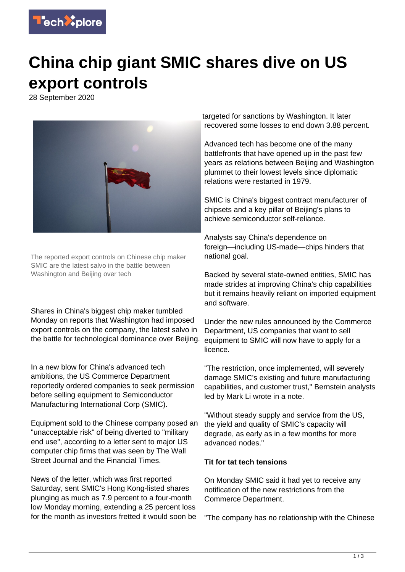

## **China chip giant SMIC shares dive on US export controls**

28 September 2020



The reported export controls on Chinese chip maker SMIC are the latest salvo in the battle between Washington and Beijing over tech

Shares in China's biggest chip maker tumbled Monday on reports that Washington had imposed export controls on the company, the latest salvo in the battle for technological dominance over Beijing.

In a new blow for China's advanced tech ambitions, the US Commerce Department reportedly ordered companies to seek permission before selling equipment to Semiconductor Manufacturing International Corp (SMIC).

Equipment sold to the Chinese company posed an "unacceptable risk" of being diverted to "military end use", according to a letter sent to major US computer chip firms that was seen by The Wall Street Journal and the Financial Times.

News of the letter, which was first reported Saturday, sent SMIC's Hong Kong-listed shares plunging as much as 7.9 percent to a four-month low Monday morning, extending a 25 percent loss for the month as investors fretted it would soon be targeted for sanctions by Washington. It later recovered some losses to end down 3.88 percent.

Advanced tech has become one of the many battlefronts that have opened up in the past few years as relations between Beijing and Washington plummet to their lowest levels since diplomatic relations were restarted in 1979.

SMIC is China's biggest contract manufacturer of chipsets and a key pillar of Beijing's plans to achieve semiconductor self-reliance.

Analysts say China's dependence on foreign—including US-made—chips hinders that national goal.

Backed by several state-owned entities, SMIC has made strides at improving China's chip capabilities but it remains heavily reliant on imported equipment and software.

Under the new rules announced by the Commerce Department, US companies that want to sell equipment to SMIC will now have to apply for a licence.

"The restriction, once implemented, will severely damage SMIC's existing and future manufacturing capabilities, and customer trust," Bernstein analysts led by Mark Li wrote in a note.

"Without steady supply and service from the US, the yield and quality of SMIC's capacity will degrade, as early as in a few months for more advanced nodes."

## **Tit for tat tech tensions**

On Monday SMIC said it had yet to receive any notification of the new restrictions from the Commerce Department.

"The company has no relationship with the Chinese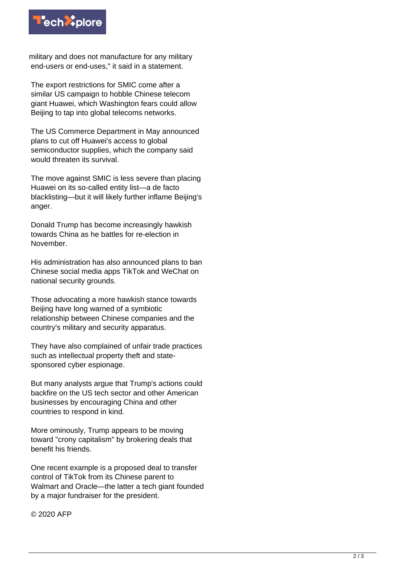

military and does not manufacture for any military end-users or end-uses," it said in a statement.

The export restrictions for SMIC come after a similar US campaign to hobble Chinese telecom giant Huawei, which Washington fears could allow Beijing to tap into global telecoms networks.

The US Commerce Department in May announced plans to cut off Huawei's access to global semiconductor supplies, which the company said would threaten its survival.

The move against SMIC is less severe than placing Huawei on its so-called entity list—a de facto blacklisting—but it will likely further inflame Beijing's anger.

Donald Trump has become increasingly hawkish towards China as he battles for re-election in November.

His administration has also announced plans to ban Chinese social media apps TikTok and WeChat on national security grounds.

Those advocating a more hawkish stance towards Beijing have long warned of a symbiotic relationship between Chinese companies and the country's military and security apparatus.

They have also complained of unfair trade practices such as intellectual property theft and statesponsored cyber espionage.

But many analysts argue that Trump's actions could backfire on the US tech sector and other American businesses by encouraging China and other countries to respond in kind.

More ominously, Trump appears to be moving toward "crony capitalism" by brokering deals that benefit his friends.

One recent example is a proposed deal to transfer control of TikTok from its Chinese parent to Walmart and Oracle—the latter a tech giant founded by a major fundraiser for the president.

© 2020 AFP